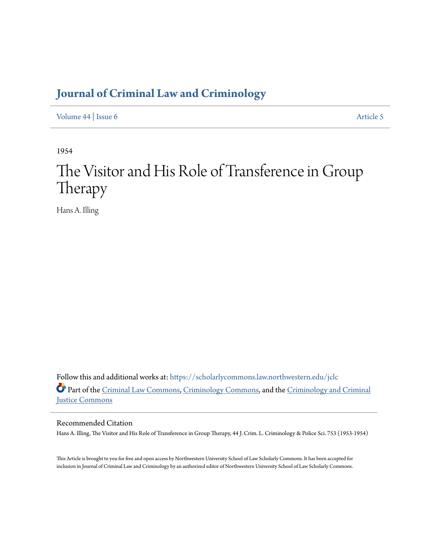# **[Journal of Criminal Law and Criminology](https://scholarlycommons.law.northwestern.edu/jclc?utm_source=scholarlycommons.law.northwestern.edu%2Fjclc%2Fvol44%2Fiss6%2F5&utm_medium=PDF&utm_campaign=PDFCoverPages)**

[Volume 44](https://scholarlycommons.law.northwestern.edu/jclc/vol44?utm_source=scholarlycommons.law.northwestern.edu%2Fjclc%2Fvol44%2Fiss6%2F5&utm_medium=PDF&utm_campaign=PDFCoverPages) | [Issue 6](https://scholarlycommons.law.northwestern.edu/jclc/vol44/iss6?utm_source=scholarlycommons.law.northwestern.edu%2Fjclc%2Fvol44%2Fiss6%2F5&utm_medium=PDF&utm_campaign=PDFCoverPages) [Article 5](https://scholarlycommons.law.northwestern.edu/jclc/vol44/iss6/5?utm_source=scholarlycommons.law.northwestern.edu%2Fjclc%2Fvol44%2Fiss6%2F5&utm_medium=PDF&utm_campaign=PDFCoverPages)

1954

# The Visitor and His Role of Transference in Group Therapy

Hans A. Illing

Follow this and additional works at: [https://scholarlycommons.law.northwestern.edu/jclc](https://scholarlycommons.law.northwestern.edu/jclc?utm_source=scholarlycommons.law.northwestern.edu%2Fjclc%2Fvol44%2Fiss6%2F5&utm_medium=PDF&utm_campaign=PDFCoverPages) Part of the [Criminal Law Commons](http://network.bepress.com/hgg/discipline/912?utm_source=scholarlycommons.law.northwestern.edu%2Fjclc%2Fvol44%2Fiss6%2F5&utm_medium=PDF&utm_campaign=PDFCoverPages), [Criminology Commons](http://network.bepress.com/hgg/discipline/417?utm_source=scholarlycommons.law.northwestern.edu%2Fjclc%2Fvol44%2Fiss6%2F5&utm_medium=PDF&utm_campaign=PDFCoverPages), and the [Criminology and Criminal](http://network.bepress.com/hgg/discipline/367?utm_source=scholarlycommons.law.northwestern.edu%2Fjclc%2Fvol44%2Fiss6%2F5&utm_medium=PDF&utm_campaign=PDFCoverPages) [Justice Commons](http://network.bepress.com/hgg/discipline/367?utm_source=scholarlycommons.law.northwestern.edu%2Fjclc%2Fvol44%2Fiss6%2F5&utm_medium=PDF&utm_campaign=PDFCoverPages)

# Recommended Citation

Hans A. Illing, The Visitor and His Role of Transference in Group Therapy, 44 J. Crim. L. Criminology & Police Sci. 753 (1953-1954)

This Article is brought to you for free and open access by Northwestern University School of Law Scholarly Commons. It has been accepted for inclusion in Journal of Criminal Law and Criminology by an authorized editor of Northwestern University School of Law Scholarly Commons.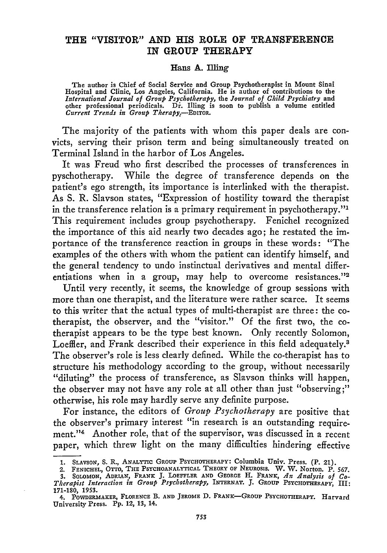# THE "VISITOR" **AND** HIS ROLE OF **TRANSFERENCE** IN GROUP THERAPY

#### Hans **A.** Illing

The author is Chief of Social Service and Group Psychotherapist in Mount Sinai<br>Hospital and Clinic, Los Angeles, California. He is author of contributions to the<br>International Journal of Group Psychotherapy, the Journal of **other** professional periodicals. **Dr.** Illing is soon **to** publish a volume entitled *Current Trends in Group Therapy-EDToR.*

The majority of the patients with whom this paper deals are convicts, serving their prison term and being simultaneously treated on Terminal Island in the harbor of Los Angeles.

It was Freud who first described the processes of transferences in pyschotherapy. While the degree of transference depends on the patient's ego strength, its importance is interlinked with the therapist. As **S.** R. Slavson states, "Expression of hostility toward the therapist in the transference relation is a primary requirement in psychotherapy."' This requirement includes group psychotherapy. Fenichel recognized the importance of this aid nearly two decades ago; he restated the importance of the transference reaction in groups in these words: "The examples of the others with whom the patient can identify himself, and the general tendency to undo instinctual derivatives and mental differentiations when in a group, may help to overcome resistances."<sup>2</sup>

Until very recently, it seems, the knowledge of group sessions with more than one therapist, and the literature were rather scarce. It seems to this writer that the actual types of multi-therapist are three: the cotherapist, the observer, and the "visitor." Of the first two, the cotherapist appears to be the type best known. Only recently Solomon, Loeffler, and Frank described their experience in this field adequately.<sup>3</sup> The observer's role is less clearly defined. While the co-therapist has to structure his methodology according to the group, without necessarily "diluting" the process of transference, as Slavson thinks will happen, the observer may not have any role at all other than just "observing;" otherwise, his role may hardly serve any definite purpose.

For instance, the editors of *Group Psychotherapy* are positive that the observer's primary interest "in research is an outstanding requirement."<sup>4</sup> Another role, that of the supervisor, was discussed in a recent paper, which threw light on the many difficulties hindering effective

**<sup>1.</sup> SLAVSON, S.** R., **ANALYTIC** GROUP PSYCHOTHERAPY: Columbia **Univ.** Press. **(P.** 21).

**<sup>2.</sup>** FENICHEL, **Orro, THE** PSYCHOANALYTICAL THEORY OF NEUROSIS. W. W. Norton. P. **567. 3. SOLOMON, ADRIAN,** FRANK J. LOEFFLER **AND GEORGE H.** *FRANi, An Analysis of Co-Therapist Interaction in Group Psychotherapy,* INTERNAT. **J.** GROUP PSYCHOTHERAPY, **III:**

**<sup>171-180, 1953.</sup>** *4.* POWDERMAKER, **FLORENCE B. AND** JEROME **D. FRANK-GROUP PSYCHOTHERAPY. Harvard**

University Press. **Pp. 12, 13, 14.**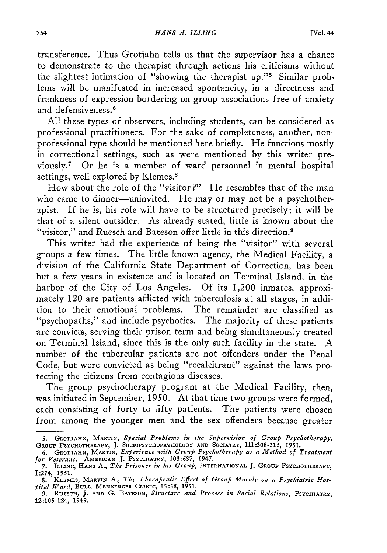transference. Thus Grotjahn tells us that the supervisor has a chance to demonstrate to the therapist through actions his criticisms without the slightest intimation of "showing the therapist up."<sup>5</sup> Similar problems will be manifested in increased spontaneity, in a directness and frankness of expression bordering on group associations free of anxiety and defensiveness. <sup>6</sup>

All these types of observers, including students, can be considered as professional practitioners. For the sake of completeness, another, nonprofessional type should be mentioned here briefly. He functions mostly in correctional settings, such as were mentioned by this writer previously.<sup>7</sup> Or he is a member of ward personnel in mental hospital settings, well explored by Klemes. <sup>8</sup>

How about the role of the "visitor?" He resembles that of the man who came to dinner-uninvited. He may or may not be a psychotherapist. If he is, his role will have to be structured precisely; it will be that of a silent outsider. As already stated, little is known about the "visitor," and Ruesch and Bateson offer little in this direction.<sup>9</sup>

This writer had the experience of being the "visitor" with several groups a few times. The little known agency, the Medical Facility, a division of the California State Department of Correction, has been but a few years in existence and is located on Terminal Island, in the harbor of the City of Los Angeles. Of its 1,200 inmates, approximately 120 are patients afflicted with tuberculosis at all stages, in addition to their emotional problems. The remainder are classified as "psychopaths," and include psychotics. The majority of these patients are convicts, serving their prison term and being simultaneously treated on Terminal Island, since this is the only such facility in the state. A number of the tubercular patients are not offenders under the Penal Code, but were convicted as being "recalcitrant" against the laws protecting the citizens from contagious diseases.

The group psychotherapy program at the Medical Facility, then, was initiated in September, 1950. At that time two groups were formed, each consisting of forty to fifty patients. The patients were chosen from among the younger men and the sex offenders because greater

**<sup>5.</sup>** GROTJAHN, MARTIN, *Special Problems in the Supervision of Group Psychotherapy,* GROUP PSYCHOTHERAPY, J. SOCIOPSYCHOPATHOLOGY **AND** SOCIATRY, 111:308-315, 1951.

**<sup>6.</sup>** GROTJAHN, MARTIN, *Experience qvith Group Psychotherapy as a Method of Treatment for Veterans.* AMERICAN J. PSYCHIATRY, 103:637, 1947. *7.* **ILLING,** HANS A., *The Prisoner in his Group,* INTERNATIONAL J. GROUP PSYCHOTHERAPY,

<sup>1:274, 1951.</sup> 8. KLEMES, MARVIN A., *The Therapeutic Effect of Group Morale on a Psychiatric Hos-pital Ward,* **BULL. MENNINGER** CLINIC, 15:58, **1951.**

**<sup>9.</sup> RUESCH, J. AND G. BATESON,** *Structure and Process in Social Relations,* PSYCHIATRY, 12:105-124, 1949.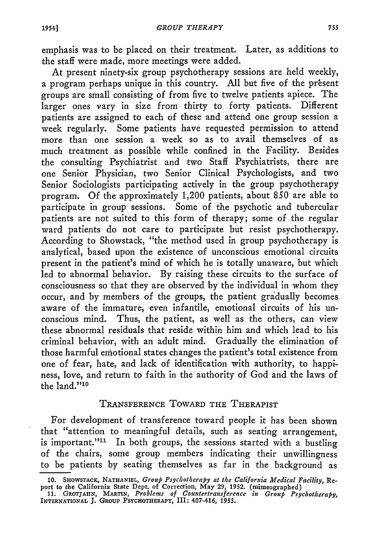emphasis was to be placed on their treatment. Later, as additions to the staff were made, more meetings were added.

At present ninety-six group psychotherapy sessions are held weekly, a program perhaps unique in this country. All but five of the present groups are small consisting of from five to twelve patients apiece. The larger ones vary in size from thirty to forty patients. Different patients are assigned to each of these and attend one group session a week regularly. Some patients have requested permission to attend more than one session a week so as to avail themselves of as much treatment as possible while confined in the Facility. Besides the consulting Psychiatrist and two Staff Psychiatrists, there are one Senior Physician, two Senior Clinical Psychologists, and two Senior Sociologists participating actively in the group psychotherapy program. Of the approximately 1,200 patients, about 850 are able to participate in group sessions. Some of the psychotic and tubercular patients are not suited to this form of therapy; some of the regular ward patients do not care to participate but resist psychotherapy. According to Showstack, "the method used in group psychotherapy is analytical, based upon the existence of unconscious emotional circuits present in the patient's mind of which he is totally unaware, but which led to abnormal behavior. By raising these circuits to the surface of consciousness so that they are observed by the individual in whom they occur, and by members of the groups, the patient gradually becomes aware of the immature, even infantile, emotional circuits of his unconscious mind. Thus, the patient, as well as the others, can view these abnormal residuals that reside within him and which lead to his criminal behavior, with an adult mind. Gradually the elimination of those harmful emotional states changes the patient's total existence from one of fear, hate, and lack of identification with authority, to happiness, love, and return to faith in the authority of God and the laws of the land."10

# TRANSFERENCE TOWARD THE THERAPIST

For development of transference toward people it has been shown that "attention to meaningful details, such as seating arrangement, is important."<sup>11</sup> In both groups, the sessions started with a bustling of the chairs, some group members indicating their unwillingness to be patients by seating themselves as far in the background as

**<sup>10.</sup>** SHOWSTACK, **NATHANIEL,** *Group Psychotherapy at the California Medical Facility,* Report **to the** California State **Dept. of** Correction, **May** *29,* **1952.** (mimeographed) **11. GROTJAHN,** MARTIN, *Problems of Countertransference in Group Psychotherapy,*

**INTERNATIONAL J. GROUP PSYCHOTHERAPY, III:** 407-416, **1953.**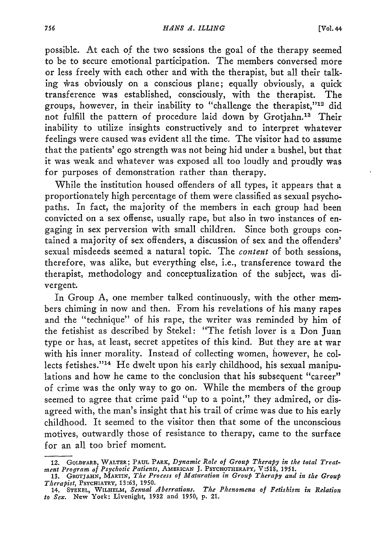possible. At each of the two sessions the goal of the therapy seemed to be to secure emotional participation. The members conversed more or less freely with each other and with the therapist, but all their talking was obviously on a conscious plane; equally obviously, a quick transference was established, consciously, with the therapist. The groups, however, in their inability to "challenge the therapist,"<sup>12</sup> did not fulfill the pattern of procedure laid down by Grotjahn.<sup>13</sup> Their inability to utilize insights constructively and to interpret whatever feelings were caused was evident all the time. The visitor had to assume that the patients' ego strength was not being hid under a bushel, but that it was weak and whatever was exposed all too loudly and proudly was for purposes of demonstration rather than therapy.

While the institution housed offenders of all types, it appears that a proportionately high percentage of them were classified as sexual psychopaths. In fact, the majority of the members in each group had been convicted on a sex offense, usually rape, but also in two instances of engaging in sex perversion with small children. Since both groups contained a majority of sex offenders, a discussion of sex and the offenders' sexual misdeeds seemed a natural topic. The *content* of both sessions, therefore, was alike, but everything else, i.e., transference toward the therapist, methodology and conceptualization of the subject, was divergent.

In Group A, one member talked continuously, with the other members chiming in now and then. From his revelations of his many rapes and the "technique" of his rape, the writer was reminded by him of the fetishist as described by Stekel: "The fetish lover is a Don Juan type or has, at least, secret appetites of this kind. But they are at war with his inner morality. Instead of collecting women, however, he collects fetishes."<sup>14</sup> He dwelt upon his early childhood, his sexual manipulations and how he came to the conclusion that his subsequent "career" of crime was the only way to go on. While the members of the group seemed to agree that crime paid "up to a point," they admired, or disagreed with, the man's insight that his trail of crime was due to his early childhood. It seemed to the visitor then that some of the unconscious motives, outwardly those of resistance to therapy, came to the surface for an all too brief moment.

**<sup>12.</sup>** GOLDFARB, WALTER; **PAUL** PARK, *Dynamic Role of Group Therapy in the total Treatment Program of Psychotic Patients,* AMERICAN **J.** PSYCHOTHERAPY, **V:518, 1951. 13.** GROTJAHN, MARTIN, *The Process of Maturation in Group Therapy and in the Group*

*Therapist,* PSYCHIATRY, **13:63, 1950.**

**<sup>14.</sup>** STEKEL, WILHELM, *Sexual dberrations. The Phenomena of Fetishism in Relation to Sex.* New York: Livenight, **1932** and **1950, p. 21.**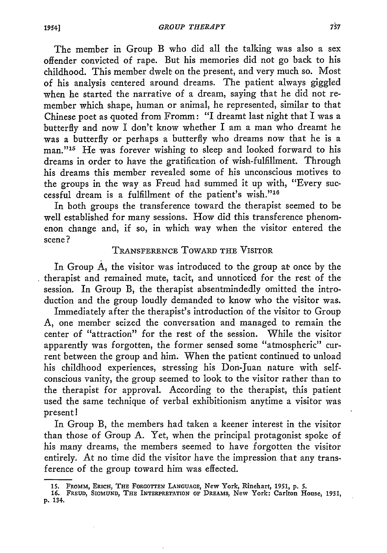The member in Group B who did all the talking was also a sex offender convicted of rape. But his memories did not go back to his childhood. This member dwelt on the present, and very much so. Most of his analysis centered around dreams. The patient always giggled when he started the narrative of a dream, saying that he did not remember which shape, human or animal, he represented, similar to that Chinese poet as quoted from Fromm: "I dreamt last night that I was a butterfly and now I don't know whether I am a man who dreamt he was a butterfly or perhaps a butterfly who dreams now that he is a man."<sup>15</sup> He was forever wishing to sleep and looked forward to his dreams in order to have the gratification of wish-fulfillment. Through his dreams this member revealed some of his unconscious motives to the groups in the way as Freud had summed it up with, "Every successful dream is a fulfillment of the patient's wish."16

In both groups the transference toward the therapist seemed to be well established for many sessions. How did this transference phenomenon change and, if so, in which way when the visitor entered the scene?

### **TRANSFERENCE** TOWARD THE VISITOR

In Group A, the visitor was introduced to the group at once by the therapist and remained mute, tacit, and unnoticed for the rest of the session. In Group B, the therapist absentmindedly omitted the introduction and the group loudly demanded to know who the visitor was.

Immediately after the therapist's introduction of the visitor to Group A, one member seized the conversation and managed to remain the center of "attraction" for the rest of the session. While the visitor apparently was forgotten, the former sensed some "atmospheric" current between the group and him. When the patient continued to unload his childhood experiences, stressing his Don-Juan nature with selfconscious vanity, the group seemed to look to the visitor rather than to the therapist for approval. According to the therapist, this patient used the same technique of verbal exhibitionism anytime a visitor was present!

In Group B, the members had taken a keener interest in the visitor than those of Group A. Yet, when the principal protagonist spoke of his many dreams, the members seemed to have forgotten the visitor entirely. At no time did the visitor have the impression that any transference of the group toward him was effected.

**<sup>15.</sup> FROMM,** ERICH, **THE** FORGOTTEN **LANGUAGE,** New York, Rinehart, **1951, p.** *5.* **16. FREUD, SIGMUND, THE INTERPRETATION OF** DREAMS, New **York: Carton** House, **1931,**

**p.** 134.